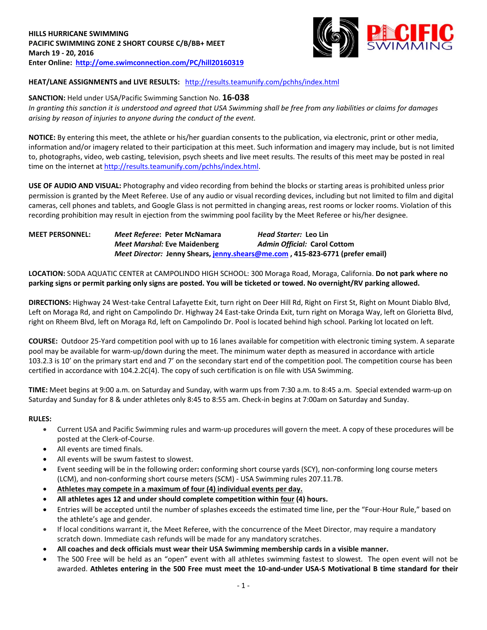

# **HEAT/LANE ASSIGNMENTS and LIVE RESULTS:** <http://results.teamunify.com/pchhs/index.html>

## **SANCTION:** Held under USA/Pacific Swimming Sanction No. **16-038**

*In granting this sanction it is understood and agreed that USA Swimming shall be free from any liabilities or claims for damages arising by reason of injuries to anyone during the conduct of the event.*

**NOTICE:** By entering this meet, the athlete or his/her guardian consents to the publication, via electronic, print or other media, information and/or imagery related to their participation at this meet. Such information and imagery may include, but is not limited to, photographs, video, web casting, television, psych sheets and live meet results. The results of this meet may be posted in real time on the internet at [http://results.teamunify.com/pchhs/index.html.](http://results.teamunify.com/pchhs/index.html)

**USE OF AUDIO AND VISUAL:** Photography and video recording from behind the blocks or starting areas is prohibited unless prior permission is granted by the Meet Referee. Use of any audio or visual recording devices, including but not limited to film and digital cameras, cell phones and tablets, and Google Glass is not permitted in changing areas, rest rooms or locker rooms. Violation of this recording prohibition may result in ejection from the swimming pool facility by the Meet Referee or his/her designee.

## **MEET PERSONNEL:** *Meet Referee***: Peter McNamara** *Head Starter:* **Leo Lin** *Meet Marshal:* **Eve Maidenberg** *Admin Official:* **Carol Cottom** *Meet Director:* **Jenny Shears[, jenny.shears@me.com](mailto:jenny.shears@me.com) , 415-823-6771 (prefer email)**

**LOCATION:** SODA AQUATIC CENTER at CAMPOLINDO HIGH SCHOOL: 300 Moraga Road, Moraga, California. **Do not park where no parking signs or permit parking only signs are posted. You will be ticketed or towed. No overnight/RV parking allowed.**

**DIRECTIONS:** Highway 24 West-take Central Lafayette Exit, turn right on Deer Hill Rd, Right on First St, Right on Mount Diablo Blvd, Left on Moraga Rd, and right on Campolindo Dr. Highway 24 East-take Orinda Exit, turn right on Moraga Way, left on Glorietta Blvd, right on Rheem Blvd, left on Moraga Rd, left on Campolindo Dr. Pool is located behind high school. Parking lot located on left.

**COURSE:** Outdoor 25-Yard competition pool with up to 16 lanes available for competition with electronic timing system. A separate pool may be available for warm-up/down during the meet. The minimum water depth as measured in accordance with article 103.2.3 is 10' on the primary start end and 7' on the secondary start end of the competition pool. The competition course has been certified in accordance with 104.2.2C(4). The copy of such certification is on file with USA Swimming.

**TIME:** Meet begins at 9:00 a.m. on Saturday and Sunday, with warm ups from 7:30 a.m. to 8:45 a.m. Special extended warm-up on Saturday and Sunday for 8 & under athletes only 8:45 to 8:55 am. Check-in begins at 7:00am on Saturday and Sunday.

## **RULES:**

- Current USA and Pacific Swimming rules and warm-up procedures will govern the meet. A copy of these procedures will be posted at the Clerk-of-Course.
- All events are timed finals.
- All events will be swum fastest to slowest.
- Event seeding will be in the following order**:** conforming short course yards (SCY), non-conforming long course meters (LCM), and non-conforming short course meters (SCM) - USA Swimming rules 207.11.7B.
- **Athletes may compete in a maximum of four (4) individual events per day.**
- **All athletes ages 12 and under should complete competition within four (4) hours.**
- Entries will be accepted until the number of splashes exceeds the estimated time line, per the "Four-Hour Rule," based on the athlete's age and gender.
- If local conditions warrant it, the Meet Referee, with the concurrence of the Meet Director, may require a mandatory scratch down. Immediate cash refunds will be made for any mandatory scratches.
- **All coaches and deck officials must wear their USA Swimming membership cards in a visible manner.**
- The 500 Free will be held as an "open" event with all athletes swimming fastest to slowest. The open event will not be awarded. **Athletes entering in the 500 Free must meet the 10-and-under USA-S Motivational B time standard for their**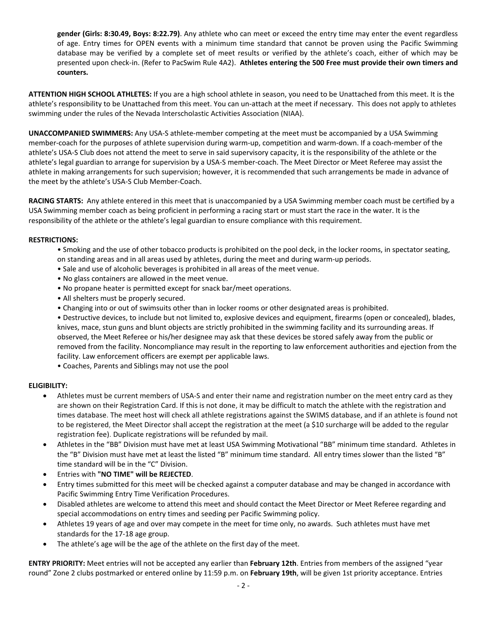**gender (Girls: 8:30.49, Boys: 8:22.79)**. Any athlete who can meet or exceed the entry time may enter the event regardless of age. Entry times for OPEN events with a minimum time standard that cannot be proven using the Pacific Swimming database may be verified by a complete set of meet results or verified by the athlete's coach, either of which may be presented upon check-in. (Refer to PacSwim Rule 4A2). **Athletes entering the 500 Free must provide their own timers and counters.**

**ATTENTION HIGH SCHOOL ATHLETES:** If you are a high school athlete in season, you need to be Unattached from this meet. It is the athlete's responsibility to be Unattached from this meet. You can un-attach at the meet if necessary. This does not apply to athletes swimming under the rules of the Nevada Interscholastic Activities Association (NIAA).

**UNACCOMPANIED SWIMMERS:** Any USA-S athlete-member competing at the meet must be accompanied by a USA Swimming member-coach for the purposes of athlete supervision during warm-up, competition and warm-down. If a coach-member of the athlete's USA-S Club does not attend the meet to serve in said supervisory capacity, it is the responsibility of the athlete or the athlete's legal guardian to arrange for supervision by a USA-S member-coach. The Meet Director or Meet Referee may assist the athlete in making arrangements for such supervision; however, it is recommended that such arrangements be made in advance of the meet by the athlete's USA-S Club Member-Coach.

**RACING STARTS:** Any athlete entered in this meet that is unaccompanied by a USA Swimming member coach must be certified by a USA Swimming member coach as being proficient in performing a racing start or must start the race in the water. It is the responsibility of the athlete or the athlete's legal guardian to ensure compliance with this requirement.

#### **RESTRICTIONS:**

- Smoking and the use of other tobacco products is prohibited on the pool deck, in the locker rooms, in spectator seating, on standing areas and in all areas used by athletes, during the meet and during warm-up periods.
- Sale and use of alcoholic beverages is prohibited in all areas of the meet venue.
- No glass containers are allowed in the meet venue.
- No propane heater is permitted except for snack bar/meet operations.
- All shelters must be properly secured.
- Changing into or out of swimsuits other than in locker rooms or other designated areas is prohibited.

• Destructive devices, to include but not limited to, explosive devices and equipment, firearms (open or concealed), blades, knives, mace, stun guns and blunt objects are strictly prohibited in the swimming facility and its surrounding areas. If observed, the Meet Referee or his/her designee may ask that these devices be stored safely away from the public or removed from the facility. Noncompliance may result in the reporting to law enforcement authorities and ejection from the facility. Law enforcement officers are exempt per applicable laws.

• Coaches, Parents and Siblings may not use the pool

## **ELIGIBILITY:**

- Athletes must be current members of USA-S and enter their name and registration number on the meet entry card as they are shown on their Registration Card. If this is not done, it may be difficult to match the athlete with the registration and times database. The meet host will check all athlete registrations against the SWIMS database, and if an athlete is found not to be registered, the Meet Director shall accept the registration at the meet (a \$10 surcharge will be added to the regular registration fee). Duplicate registrations will be refunded by mail.
- Athletes in the "BB" Division must have met at least USA Swimming Motivational "BB" minimum time standard. Athletes in the "B" Division must have met at least the listed "B" minimum time standard. All entry times slower than the listed "B" time standard will be in the "C" Division.
- Entries with **"NO TIME" will be REJECTED**.
- Entry times submitted for this meet will be checked against a computer database and may be changed in accordance with Pacific Swimming Entry Time Verification Procedures.
- Disabled athletes are welcome to attend this meet and should contact the Meet Director or Meet Referee regarding and special accommodations on entry times and seeding per Pacific Swimming policy.
- Athletes 19 years of age and over may compete in the meet for time only, no awards. Such athletes must have met standards for the 17-18 age group.
- The athlete's age will be the age of the athlete on the first day of the meet.

**ENTRY PRIORITY:** Meet entries will not be accepted any earlier than **February 12th**. Entries from members of the assigned "year round" Zone 2 clubs postmarked or entered online by 11:59 p.m. on **February 19th**, will be given 1st priority acceptance. Entries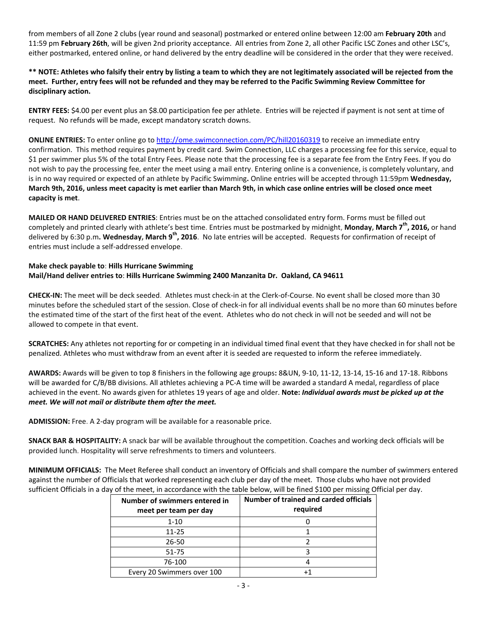from members of all Zone 2 clubs (year round and seasonal) postmarked or entered online between 12:00 am **February 20th** and 11:59 pm **February 26th**, will be given 2nd priority acceptance. All entries from Zone 2, all other Pacific LSC Zones and other LSC's, either postmarked, entered online, or hand delivered by the entry deadline will be considered in the order that they were received.

**\*\* NOTE: Athletes who falsify their entry by listing a team to which they are not legitimately associated will be rejected from the meet. Further, entry fees will not be refunded and they may be referred to the Pacific Swimming Review Committee for disciplinary action.**

**ENTRY FEES:** \$4.00 per event plus an \$8.00 participation fee per athlete. Entries will be rejected if payment is not sent at time of request. No refunds will be made, except mandatory scratch downs.

**ONLINE ENTRIES:** To enter online go t[o http://ome.swimconnection.com/PC/hill20160319](http://ome.swimconnection.com/PC/hill20160319) to receive an immediate entry confirmation. This method requires payment by credit card. Swim Connection, LLC charges a processing fee for this service, equal to \$1 per swimmer plus 5% of the total Entry Fees. Please note that the processing fee is a separate fee from the Entry Fees. If you do not wish to pay the processing fee, enter the meet using a mail entry. Entering online is a convenience, is completely voluntary, and is in no way required or expected of an athlete by Pacific Swimming**.** Online entries will be accepted through 11:59pm **Wednesday, March 9th, 2016, unless meet capacity is met earlier than March 9th, in which case online entries will be closed once meet capacity is met**.

**MAILED OR HAND DELIVERED ENTRIES**: Entries must be on the attached consolidated entry form. Forms must be filled out completely and printed clearly with athlete's best time. Entries must be postmarked by midnight, **Monday, March 7th, 2016,** or hand delivered by 6:30 p.m**. Wednesday, March 9th, 2016**. No late entries will be accepted. Requests for confirmation of receipt of entries must include a self-addressed envelope.

## **Make check payable to**: **Hills Hurricane Swimming Mail/Hand deliver entries to**: **Hills Hurricane Swimming 2400 Manzanita Dr. Oakland, CA 94611**

**CHECK-IN:** The meet will be deck seeded. Athletes must check-in at the Clerk-of-Course. No event shall be closed more than 30 minutes before the scheduled start of the session. Close of check-in for all individual events shall be no more than 60 minutes before the estimated time of the start of the first heat of the event. Athletes who do not check in will not be seeded and will not be allowed to compete in that event.

**SCRATCHES:** Any athletes not reporting for or competing in an individual timed final event that they have checked in for shall not be penalized. Athletes who must withdraw from an event after it is seeded are requested to inform the referee immediately.

**AWARDS:** Awards will be given to top 8 finishers in the following age groups**:** 8&UN, 9-10, 11-12, 13-14, 15-16 and 17-18. Ribbons will be awarded for C/B/BB divisions. All athletes achieving a PC-A time will be awarded a standard A medal, regardless of place achieved in the event. No awards given for athletes 19 years of age and older. **Note:** *Individual awards must be picked up at the meet. We will not mail or distribute them after the meet.*

**ADMISSION:** Free. A 2-day program will be available for a reasonable price.

**SNACK BAR & HOSPITALITY:** A snack bar will be available throughout the competition. Coaches and working deck officials will be provided lunch. Hospitality will serve refreshments to timers and volunteers.

**MINIMUM OFFICIALS:** The Meet Referee shall conduct an inventory of Officials and shall compare the number of swimmers entered against the number of Officials that worked representing each club per day of the meet. Those clubs who have not provided sufficient Officials in a day of the meet, in accordance with the table below, will be fined \$100 per missing Official per day.

| Number of swimmers entered in<br>meet per team per day | Number of trained and carded officials<br>required |
|--------------------------------------------------------|----------------------------------------------------|
| $1 - 10$                                               |                                                    |
| 11-25                                                  |                                                    |
| $26 - 50$                                              |                                                    |
| $51 - 75$                                              |                                                    |
| 76-100                                                 |                                                    |
| Every 20 Swimmers over 100                             |                                                    |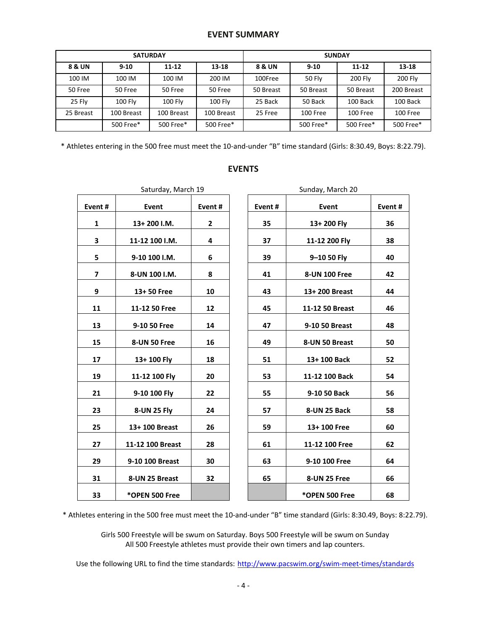## **EVENT SUMMARY**

|           |                | <b>SATURDAY</b> |                | <b>SUNDAY</b> |               |                |                |  |  |
|-----------|----------------|-----------------|----------------|---------------|---------------|----------------|----------------|--|--|
| 8 & UN    | $9 - 10$       | $11 - 12$       | $13 - 18$      | 8 & UN        | $9 - 10$      |                | $13 - 18$      |  |  |
| 100 IM    | 100 IM         | 100 IM          | 200 IM         | 100Free       | <b>50 Flv</b> | <b>200 Fly</b> | <b>200 Fly</b> |  |  |
| 50 Free   | 50 Free        | 50 Free         | 50 Free        | 50 Breast     | 50 Breast     | 50 Breast      | 200 Breast     |  |  |
| 25 Fly    | <b>100 Fly</b> | 100 Fly         | <b>100 Flv</b> | 25 Back       | 50 Back       | 100 Back       | 100 Back       |  |  |
| 25 Breast | 100 Breast     | 100 Breast      | 100 Breast     | 25 Free       | 100 Free      | 100 Free       | 100 Free       |  |  |
|           | 500 Free*      | 500 Free*       | 500 Free*      |               | 500 Free*     | 500 Free*      | 500 Free*      |  |  |

\* Athletes entering in the 500 free must meet the 10-and-under "B" time standard (Girls: 8:30.49, Boys: 8:22.79).

|                          | Saturday, March 19 |              | Sunday, March 20 |        |                 |    |  |  |
|--------------------------|--------------------|--------------|------------------|--------|-----------------|----|--|--|
| Event#                   | Event              | Event#       |                  | Event# | Event#          |    |  |  |
| $\mathbf{1}$             | 13+200 I.M.        | $\mathbf{2}$ |                  | 35     | 13+200 Fly      | 36 |  |  |
| 3                        | 11-12 100 I.M.     | 4            |                  | 37     | 11-12 200 Fly   | 38 |  |  |
| 5                        | 9-10 100 I.M.      | 6            |                  | 39     | 9-10 50 Fly     | 40 |  |  |
| $\overline{\phantom{a}}$ | 8-UN 100 I.M.      | 8            |                  | 41     | 8-UN 100 Free   | 42 |  |  |
| 9                        | 13+50 Free         | 10           |                  | 43     | 13+200 Breast   | 44 |  |  |
| 11                       | 11-12 50 Free      | 12           |                  | 45     | 11-12 50 Breast | 46 |  |  |
| 13                       | 9-10 50 Free       | 14           |                  | 47     | 9-10 50 Breast  | 48 |  |  |
| 15                       | 8-UN 50 Free       | 16           |                  | 49     | 8-UN 50 Breast  | 50 |  |  |
| 17                       | 13+100 Fly         | 18           |                  | 51     | 13+100 Back     | 52 |  |  |
| 19                       | 11-12 100 Fly      | 20           |                  | 53     | 11-12 100 Back  | 54 |  |  |
| 21                       | 9-10 100 Fly       | 22           |                  | 55     | 9-10 50 Back    | 56 |  |  |
| 23                       | 8-UN 25 Fly        | 24           |                  | 57     | 8-UN 25 Back    | 58 |  |  |
| 25                       | 13+ 100 Breast     | 26           |                  | 59     | 13+100 Free     | 60 |  |  |
| 27                       | 11-12 100 Breast   | 28           |                  | 61     | 11-12 100 Free  | 62 |  |  |
| 29                       | 9-10 100 Breast    | 30           |                  | 63     | 9-10 100 Free   | 64 |  |  |
| 31                       | 8-UN 25 Breast     | 32           |                  | 65     | 8-UN 25 Free    | 66 |  |  |
| 33                       | *OPEN 500 Free     |              |                  |        | *OPEN 500 Free  | 68 |  |  |

| nt #                    | Event          | Event#         | Event# | Event           | Even |
|-------------------------|----------------|----------------|--------|-----------------|------|
| $\overline{1}$          | 13+200 I.M.    | $\overline{2}$ | 35     | 13+200 Fly      | 36   |
| $\overline{\mathbf{3}}$ | 11-12 100 I.M. | 4              | 37     | 11-12 200 Fly   | 38   |
| 5                       | 9-10 100 I.M.  | 6              | 39     | 9-10 50 Fly     | 40   |
| $\overline{1}$          | 8-UN 100 I.M.  | 8              | 41     | 8-UN 100 Free   | 42   |
| 9                       | 13+50 Free     | 10             | 43     | 13+ 200 Breast  | 44   |
| L1                      | 11-12 50 Free  | 12             | 45     | 11-12 50 Breast | 46   |
| L3                      | 9-10 50 Free   | 14             | 47     | 9-10 50 Breast  | 48   |
| $\overline{5}$          | 8-UN 50 Free   | 16             | 49     | 8-UN 50 Breast  | 50   |
| L7                      | 13+100 Fly     | 18             | 51     | 13+100 Back     | 52   |
| L9                      | 11-12 100 Fly  | 20             | 53     | 11-12 100 Back  | 54   |
| $\overline{21}$         | 9-10 100 Fly   | 22             | 55     | 9-10 50 Back    | 56   |
| 23                      | 8-UN 25 Fly    | 24             | 57     | 8-UN 25 Back    | 58   |
|                         |                |                |        |                 |      |

# **EVENTS**

\* Athletes entering in the 500 free must meet the 10-and-under "B" time standard (Girls: 8:30.49, Boys: 8:22.79).

Girls 500 Freestyle will be swum on Saturday. Boys 500 Freestyle will be swum on Sunday All 500 Freestyle athletes must provide their own timers and lap counters.

Use the following URL to find the time standards: <http://www.pacswim.org/swim-meet-times/standards>